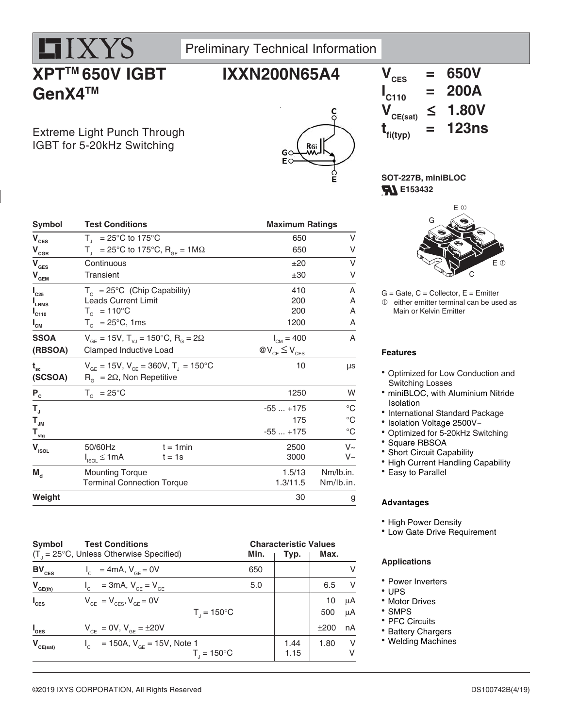

Preliminary Technical Information

**IXXN200N65A4**

# **XPTTM 650V IGBT GenX4TM**

Extreme Light Punch Through IGBT for 5-20kHz Switching



### $V_{\text{rec}}$  = 650V  $\mathbf{I}_{\mathsf{C110}}$ **C110 = 200A**  $V_{CE(sat)} \leq 1.80V$  $t_{f_{i(typ)}}$  **= 123ns**

**SOT-227B, miniBLOC FL** E153432

| <b>Symbol</b><br><b>Test Conditions</b>         |                                                                                    |             |                        | <b>Maximum Ratings</b> |                 |
|-------------------------------------------------|------------------------------------------------------------------------------------|-------------|------------------------|------------------------|-----------------|
| $V_{\text{CES}}$                                | $T_{1}$ = 25°C to 175°C                                                            |             |                        | 650                    | ٧               |
| $\mathsf{V}_{\mathsf{cGR}}$                     | $T_{\text{H}}$ = 25°C to 175°C, R <sub>GE</sub> = 1M $\Omega$                      |             |                        | 650                    | ٧               |
| $V_{\text{GES}}$                                | Continuous                                                                         |             |                        | ±20                    | ٧               |
| ${\mathsf V}_{\scriptscriptstyle \mathsf{GEM}}$ | <b>Transient</b>                                                                   |             |                        | ±30                    | ٧               |
| $I_{C25}$                                       | $T_c = 25^{\circ}C$ (Chip Capability)                                              |             |                        | 410                    | Α               |
| $I_{LRMS}$                                      | <b>Leads Current Limit</b>                                                         |             |                        | 200                    | A               |
| $\mathsf{I}_{\texttt{C110}}$                    | $T_c$ = 110°C                                                                      |             |                        | 200                    | A               |
| $I_{\texttt{CM}}$                               | $T_c$ = 25°C, 1ms                                                                  |             |                        | 1200                   | Α               |
| <b>SSOA</b>                                     | $V_{\text{GF}} = 15V$ , $T_{\text{V,I}} = 150^{\circ}C$ , $R_{\text{G}} = 2\Omega$ |             | $I_{CM} = 400$         |                        | A               |
| (RBSOA)                                         | Clamped Inductive Load                                                             |             | $@V_{CE} \leq V_{CES}$ |                        |                 |
| $\mathbf{t}_{\mathbf{sc}}$                      | $V_{GE}$ = 15V, $V_{CE}$ = 360V, T <sub>J</sub> = 150°C                            |             |                        | 10                     | $\mu s$         |
| (SCSOA)                                         | $R_{\alpha} = 2\Omega$ , Non Repetitive                                            |             |                        |                        |                 |
| $P_{c}$                                         | $T_c = 25^{\circ}C$                                                                |             |                        | 1250                   | W               |
| T,                                              |                                                                                    |             | $-55+175$              |                        | $\rm ^{\circ}C$ |
| $\mathsf{T}_{\mathsf{JM}}$                      |                                                                                    |             |                        | 175                    | $^{\circ}C$     |
| $\mathsf{T}_{_{\sf stg}}$                       |                                                                                    |             | $-55+175$              |                        | $^{\circ}C$     |
| V <sub>ISOL</sub>                               | 50/60Hz                                                                            | $t = 1$ min |                        | 2500                   | $V_{\sim}$      |
|                                                 | $I_{ISOL} \leq 1mA$                                                                | $t = 1s$    |                        | 3000                   | V~              |
| $M_{\rm d}$                                     | <b>Mounting Torque</b>                                                             |             |                        | 1.5/13                 | Nm/lb.in.       |
|                                                 | <b>Terminal Connection Torque</b>                                                  |             | 1.3/11.5               |                        | Nm/lb.in.       |
| Weight                                          |                                                                                    |             |                        | 30                     | g               |



 $G =$  Gate,  $C =$  Collector,  $E =$  Emitter  $<sup>①</sup>$  either emitter terminal can be used as</sup> Main or Kelvin Emitter

### **Features**

- Optimized for Low Conduction and Switching Losses
- miniBLOC, with Aluminium Nitride Isolation
- International Standard Package
- Isolation Voltage 2500V~
- Optimized for 5-20kHz Switching
- Square RBSOA
- Short Circuit Capability
- High Current Handling Capability
- Easy to Parallel

#### **Advantages**

- High Power Density
- Low Gate Drive Requirement

#### **Applications**

- Power Inverters
- UPS
- Motor Drives
- SMPS
- PFC Circuits
- Battery Chargers
- Welding Machines

### **Symbol Test Conditions Characteristic Values**

|                    | $(T_{1} = 25^{\circ}C,$ Unless Otherwise Specified)            | Min. | Typ.         | Max. |         |  |
|--------------------|----------------------------------------------------------------|------|--------------|------|---------|--|
| $BV_{CES}$         | $I_c = 4mA, V_{cF} = 0V$                                       | 650  |              |      |         |  |
| $V_{GE(th)}$       | $V_{C}$ = 3mA, $V_{CE} = V_{GE}$                               | 5.0  |              | 6.5  | $\vee$  |  |
| $I_{\text{CES}}$   | $V_{CF} = V_{CFS}$ , $V_{GF} = 0V$                             |      |              | 10   | μA      |  |
|                    | $T_{1} = 150^{\circ}C$                                         |      |              | 500  | $\mu$ A |  |
| $I_{\texttt{GES}}$ | $V_{CF} = 0V$ , $V_{GF} = \pm 20V$                             |      |              | ±200 | nA      |  |
| $V_{CE(sat)}$      | $I_c$ = 150A, $V_{cF}$ = 15V, Note 1<br>$T_{1} = 150^{\circ}C$ |      | 1.44<br>1.15 | 1.80 | V<br>v  |  |

#### DS100742B(4/19)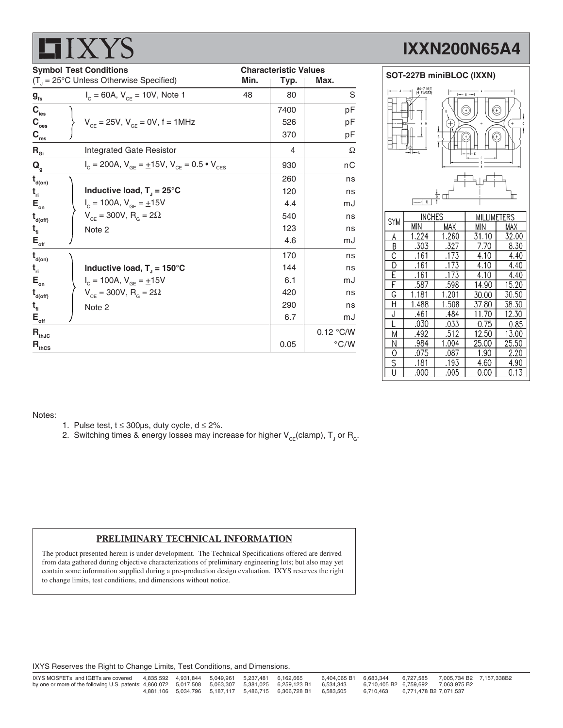|                                         | <b>Symbol Test Conditions</b><br>$(T_{\text{I}} = 25^{\circ} \text{C}$ Unless Otherwise Specified) | Min. | <b>Characteristic Values</b><br>Typ. | Max.          |
|-----------------------------------------|----------------------------------------------------------------------------------------------------|------|--------------------------------------|---------------|
| $g_{\rm fs}$                            | $I_c = 60A$ , $V_{CF} = 10V$ , Note 1                                                              | 48   | 80                                   | S             |
| $\mathbf{C}_{\text{ies}}$               |                                                                                                    |      | 7400                                 | pF            |
| $\mathbf{C}_{_{\mathrm{oes}}}$          | $V_{CF} = 25V$ , $V_{GF} = 0V$ , f = 1MHz                                                          |      | 526                                  | pF            |
| $\mathbf{C}_{\mathrm{res}}$             |                                                                                                    |      | 370                                  | pF            |
| $R_{\text{Gi}}$                         | <b>Integrated Gate Resistor</b>                                                                    |      | 4                                    | Ω             |
| $\mathbf{Q}_{_{\mathrm{g}}}$            | $I_c = 200A$ , $V_{GE} = \pm 15V$ , $V_{CE} = 0.5 \cdot V_{CES}$                                   |      | 930                                  | nС            |
| $\mathbf{t}_{\text{\tiny{d(0n)}}}$      |                                                                                                    |      | 260                                  | ns            |
| $t_{ri}$                                | Inductive load, $T_1 = 25^{\circ}C$                                                                |      | 120                                  | ns            |
| $\mathsf{E}_{_{\sf on}}$                | $I_c = 100A, V_{GF} = \pm 15V$                                                                     |      | 4.4                                  | mJ            |
| $t_{\text{\tiny{d(off)}}}$              | $V_{CF} = 300V, R_{G} = 2Ω$                                                                        |      | 540                                  | ns            |
| $t_{fi}$                                | Note 2                                                                                             |      | 123                                  | ns            |
| $E_{\rm_{off}}$                         |                                                                                                    |      | 4.6                                  | mJ            |
| $t_{\text{\tiny{d(0n)}}}$               |                                                                                                    |      | 170                                  | ns            |
| $t_{ri}$                                | Inductive load, $T_{\parallel}$ = 150°C                                                            |      | 144                                  | ns            |
| $\mathsf{E}_{_{\sf on}}$                | $I_c = 100A, V_{GF} = \pm 15V$                                                                     |      | 6.1                                  | mJ            |
| $t_{\text{\tiny{d(off)}}}$              | $V_{CF} = 300V, R_{G} = 2\Omega$                                                                   |      | 420                                  | ns            |
| $t_{fi}$                                | Note 2                                                                                             |      | 290                                  | ns            |
| $\mathsf{E}_{\underline{\mathsf{off}}}$ |                                                                                                    |      | 6.7                                  | mJ            |
| $\mathbf{R}_{\text{thJC}}$              |                                                                                                    |      |                                      | 0.12 °C/W     |
| $\mathbf{R}_{\text{thCS}}$              |                                                                                                    |      | 0.05                                 | $\degree$ C/W |

# **IXXN200N65A4**



| <b>SYM</b>     | <b>INCHES</b> |       | MILLIMETERS |       |  |
|----------------|---------------|-------|-------------|-------|--|
|                | МIИ           | MAX   | МIИ         | MAX   |  |
| А              | 1.224         | 1.260 | 31.10       | 32.00 |  |
| В              | .303          | .327  | 7.70        | 8.30  |  |
| С              | .161          | .173  | 4.10        | 4.40  |  |
| D              | .161          | .173  | 4.10        | 4.40  |  |
| Е              | .161          | .173  | 4.10        | 4.40  |  |
| F              | .587          | .598  | 14.90       | 15.20 |  |
| G              | 1.181         | 1.201 | 30.00       | 30.50 |  |
| Н              | 1.488         | 1.508 | 37.80       | 38.30 |  |
| J              | .461          | .484  | 11.70       | 12.30 |  |
|                | .030          | .033  | 0.75        | 0.85  |  |
| М              | .492          | .512  | 12.50       | 13.00 |  |
| Ñ              | .984          | 1.004 | 25.00       | 25.50 |  |
| $\overline{0}$ | .075          | .087  | 1.90        | 2.20  |  |
| S              | .181          | .193  | 4.60        | 4.90  |  |
| U              | .000          | .005  | 0.00        | 0.13  |  |

#### Notes:

**HIYYS** 

- 1. Pulse test,  $t \le 300 \mu s$ , duty cycle,  $d \le 2\%$ .
- 2. Switching times & energy losses may increase for higher  $\mathsf{V}_{\mathsf{CE}}$ (clamp),  $\mathsf{T}_{\mathsf{J}}$  or  $\mathsf{R}_{\mathsf{G}}$ .

#### **PRELIMINARY TECHNICAL INFORMATION**

The product presented herein is under development. The Technical Specifications offered are derived from data gathered during objective characterizations of preliminary engineering lots; but also may yet contain some information supplied during a pre-production design evaluation. IXYS reserves the right to change limits, test conditions, and dimensions without notice.

IXYS Reserves the Right to Change Limits, Test Conditions, and Dimensions.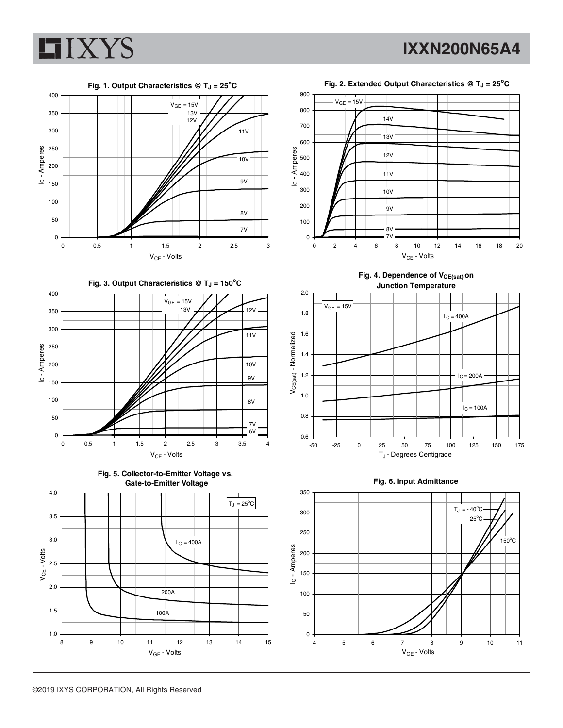



Fig. 2. Extended Output Characteristics @ T<sub>J</sub> = 25<sup>°</sup>C



Fig. 4. Dependence of V<sub>CE(sat)</sub> on **Junction Temperature**





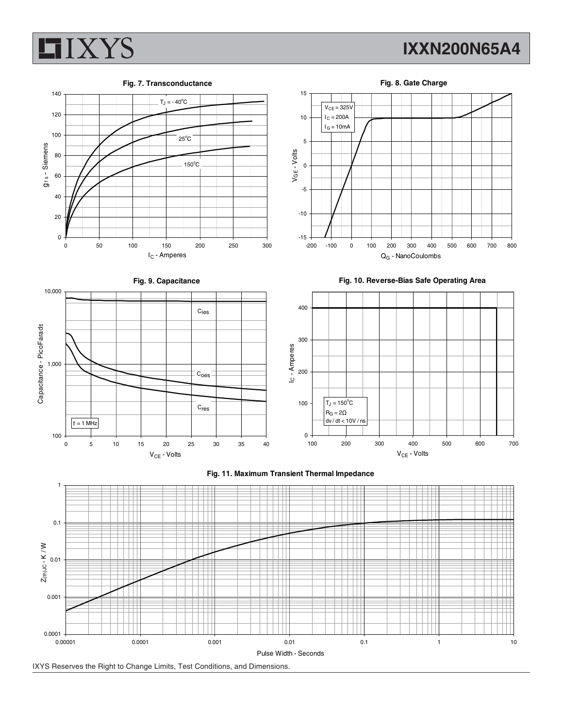

120

140

## **IXXN200N65A4**



 $T_J = -40^{\circ}C$ 





15



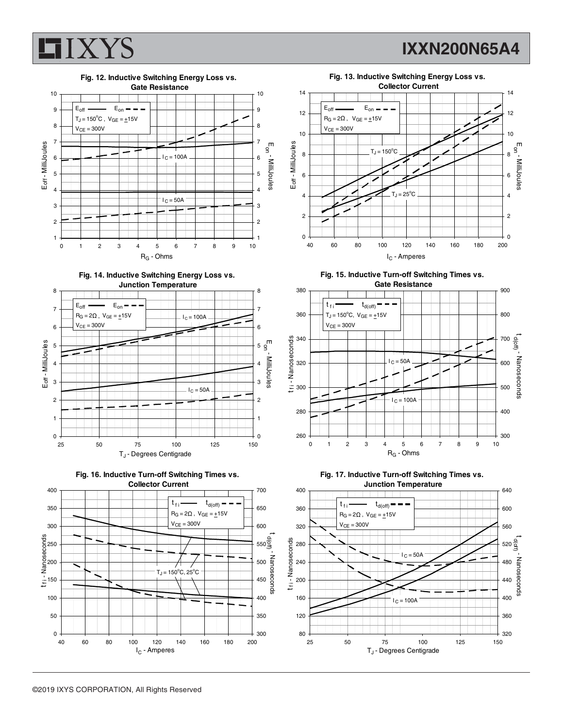

**IXXN200N65A4**



**Fig. 14. Inductive Switching Energy Loss vs.**









**Fig. 15. Inductive Turn-off Switching Times vs. Gate Resistance**





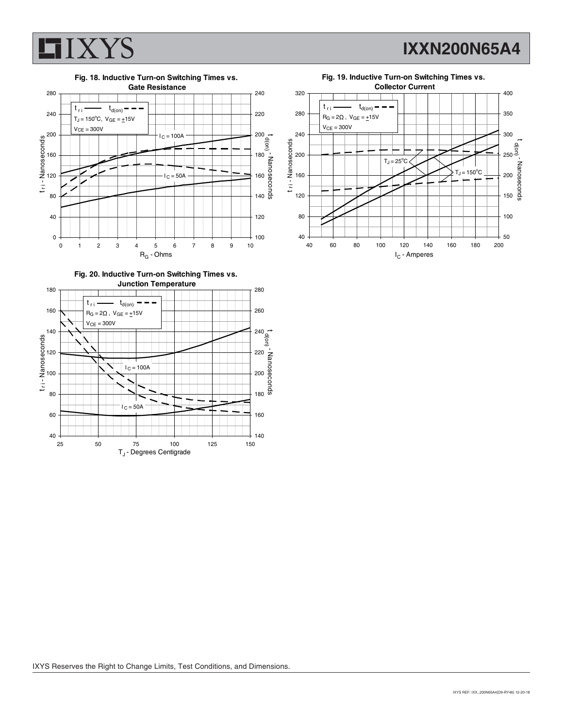

**IXXN200N65A4**







![](_page_5_Figure_5.jpeg)